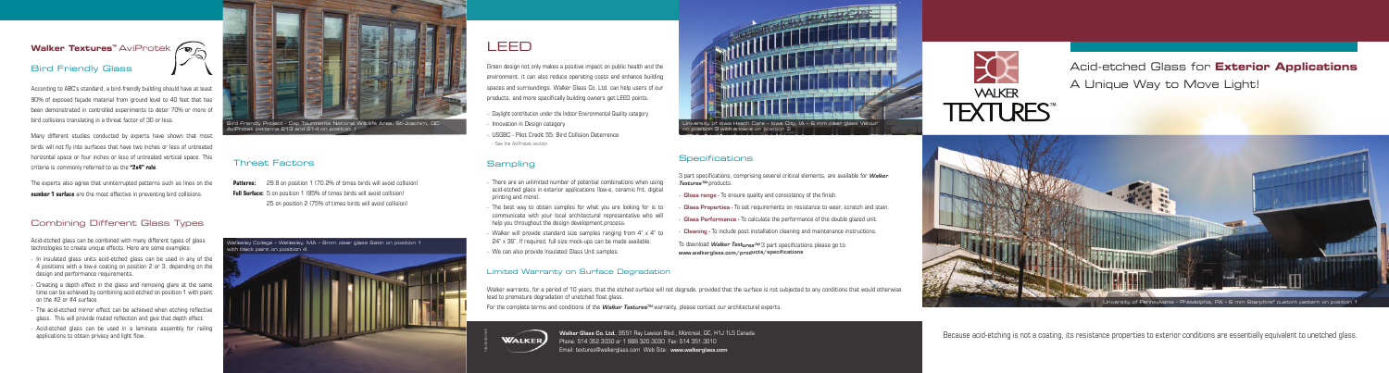# Acid-etched Glass for **Exterior Applications** A Unique Way to Move Light!

### **Walker Textures<sup>™</sup> AviProtek ⁄⊙**

#### Bird Friendly Glass

According to ABC's standard, a bird-friendly building should have at least 90% of exposed façade material from ground level to 40 feet that has been demonstrated in controlled experiments to deter 70% or more of bird collisions translating in a threat factor of 30 or less.

Many different studies conducted by experts have shown that most birds will not fly into surfaces that have two inches or less of untreated horizontal space or four inches or less of untreated vertical space. This criteria is commonly referred to as the **"2x4" rule**.

The experts also agree that uninterrupted patterns such as lines on the **number 1 surface** are the most effective in preventing bird collisions.

### Combining Different Glass Types

Acid-etched glass can be combined with many different types of glass technologies to create unique effects. Here are some examples:

- In insulated glass units acid-etched glass can be used in any of the 4 positions with a low-e coating on position 2 or 3, depending on the design and performance requirements.
- Creating a depth effect in the glass and removing glare at the same time can be achieved by combining acid-etched on position 1 with paint on the #2 or #4 surface.
- The acid-etched mirror effect can be achieved when etching reflective glass. This will provide muted reflection and give that depth effect.
- Acid-etched glass can be used in a laminate assembly for railing applications to obtain privacy and light flow.



Green design not only makes a positive impact on public health and the environment, it can also reduce operating costs and enhance building spaces and surroundings. Walker Glass Co. Ltd. can help users of our products, and more specifically building owners get LEED points.

**Patterns:** 29.8 on position 1 (70.2% of times birds will avoid collision) **Full Surface:** 5 on position 1 (95% of times birds will avoid collision) 25 on position 2 (75% of times birds will avoid collision)

- Daylight contribution under the Indoor Environmental Quality category
- 
- 
- 

# **Sampling**

- Innovation in Design category
- USGBC Pilot Credit 55: Bird Collision Deterrence
- See the AviProtek section

 - There are an unlimited number of potential combinations when using acid-etched glass in exterior applications (low-e, ceramic frit, digital

- printing and more).
- 
- 
- 



 - The best way to obtain samples for what you are looking for is to communicate with your local architectural representative who will help you throughout the design development process.

 - Walker will provide standard size samples ranging from 4" x 4" to 24" x 36". If required, full size mock-ups can be made available.

- We can also provide Insulated Glass Unit samples.

3 part specifications, comprising several critical elements, are available for *Walker Textures™* products.

- **Gloss range** To ensure quality and consistency of the finish.
- **Glass Properties** To set requirements on resistance to wear, scratch and stain.
- **Glass Performance** To calculate the performance of the double glazed unit.
- **Cleaning** To include post installation cleaning and maintenance instructions.

To download *Walker Textures™* 3 part specifications please go to: **www.walkerglass.com/products/specifications** 





PUBL-VEM-035A (1405)

Walker Glass Co. Ltd., 9551 Ray Lawson Blvd., Montreal, QC, H1J 1L5 Canada Phone: 514 352.3030 or 1 888 320.3030 Fax: 514 351.3010 Email: textures@walkerglass.com Web Site: www.walkerglass.com



#### Threat Factors



## **Specifications**

#### Limited Warranty on Surface Degradation

Walker warrants, for a period of 10 years, that the etched surface will not degrade, provided that the surface is not subjected to any conditions that would otherwise lead to premature degradation of unetched float glass.

For the complete terms and conditions of the *Walker Textures™* warranty, please contact our architectural experts.





Because acid-etching is not a coating, its resistance properties to exterior conditions are essentially equivalent to unetched glass.